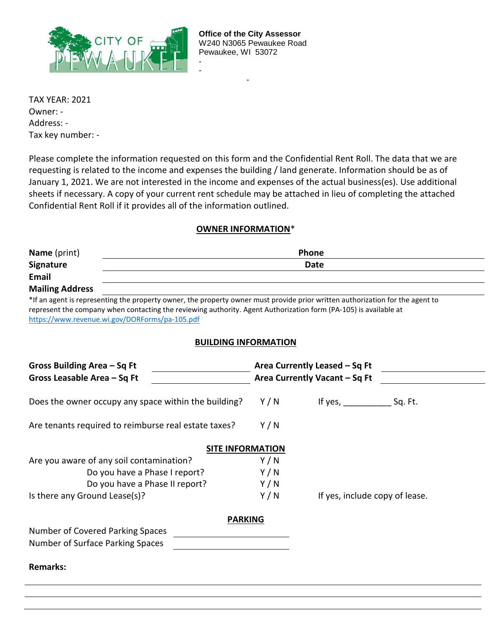

- - 1990 - 1990 - 1990 - 1990 - 1990 - 1990 - 1990 - 1990 - 1990 - 1990 - 1990 - 1990 - 1990 - 1990 - 1990 - 19<br>1991 - 1990 - 1990 - 1990 - 1990 - 1990 - 1990 - 1990 - 1990 - 1990 - 1990 - 1990 - 1990 - 1990 - 1990 - 1990

TAX YEAR: 2021 Owner: - Address: - Tax key number: -

Please complete the information requested on this form and the Confidential Rent Roll. The data that we are requesting is related to the income and expenses the building / land generate. Information should be as of January 1, 2021. We are not interested in the income and expenses of the actual business(es). Use additional sheets if necessary. A copy of your current rent schedule may be attached in lieu of completing the attached Confidential Rent Roll if it provides all of the information outlined.

## **OWNER INFORMATION**\*

| Name (print)                                                                                                                                                                                                                                                                                        | Phone                         |                                |  |  |  |  |  |  |  |  |  |
|-----------------------------------------------------------------------------------------------------------------------------------------------------------------------------------------------------------------------------------------------------------------------------------------------------|-------------------------------|--------------------------------|--|--|--|--|--|--|--|--|--|
| Signature                                                                                                                                                                                                                                                                                           | <b>Date</b>                   |                                |  |  |  |  |  |  |  |  |  |
| Email                                                                                                                                                                                                                                                                                               |                               |                                |  |  |  |  |  |  |  |  |  |
| <b>Mailing Address</b>                                                                                                                                                                                                                                                                              |                               |                                |  |  |  |  |  |  |  |  |  |
| *If an agent is representing the property owner, the property owner must provide prior written authorization for the agent to<br>represent the company when contacting the reviewing authority. Agent Authorization form (PA-105) is available at<br>https://www.revenue.wi.gov/DORForms/pa-105.pdf |                               |                                |  |  |  |  |  |  |  |  |  |
| <b>BUILDING INFORMATION</b>                                                                                                                                                                                                                                                                         |                               |                                |  |  |  |  |  |  |  |  |  |
| Gross Building Area - Sq Ft                                                                                                                                                                                                                                                                         | Area Currently Leased – Sq Ft |                                |  |  |  |  |  |  |  |  |  |
| Gross Leasable Area - Sq Ft                                                                                                                                                                                                                                                                         |                               | Area Currently Vacant - Sq Ft  |  |  |  |  |  |  |  |  |  |
| Does the owner occupy any space within the building?                                                                                                                                                                                                                                                | Y/N                           | If yes, Sq. Ft.                |  |  |  |  |  |  |  |  |  |
| Are tenants required to reimburse real estate taxes?                                                                                                                                                                                                                                                | Y/N                           |                                |  |  |  |  |  |  |  |  |  |
| <b>SITE INFORMATION</b>                                                                                                                                                                                                                                                                             |                               |                                |  |  |  |  |  |  |  |  |  |
| Are you aware of any soil contamination?                                                                                                                                                                                                                                                            | Y/N                           |                                |  |  |  |  |  |  |  |  |  |
| Do you have a Phase I report?                                                                                                                                                                                                                                                                       | Y/N                           |                                |  |  |  |  |  |  |  |  |  |
| Do you have a Phase II report?                                                                                                                                                                                                                                                                      | Y/N                           |                                |  |  |  |  |  |  |  |  |  |
| Is there any Ground Lease(s)?                                                                                                                                                                                                                                                                       | Y/N                           | If yes, include copy of lease. |  |  |  |  |  |  |  |  |  |
| <b>PARKING</b>                                                                                                                                                                                                                                                                                      |                               |                                |  |  |  |  |  |  |  |  |  |
| Number of Covered Parking Spaces                                                                                                                                                                                                                                                                    |                               |                                |  |  |  |  |  |  |  |  |  |
| Number of Surface Parking Spaces                                                                                                                                                                                                                                                                    |                               |                                |  |  |  |  |  |  |  |  |  |
| <b>Remarks:</b>                                                                                                                                                                                                                                                                                     |                               |                                |  |  |  |  |  |  |  |  |  |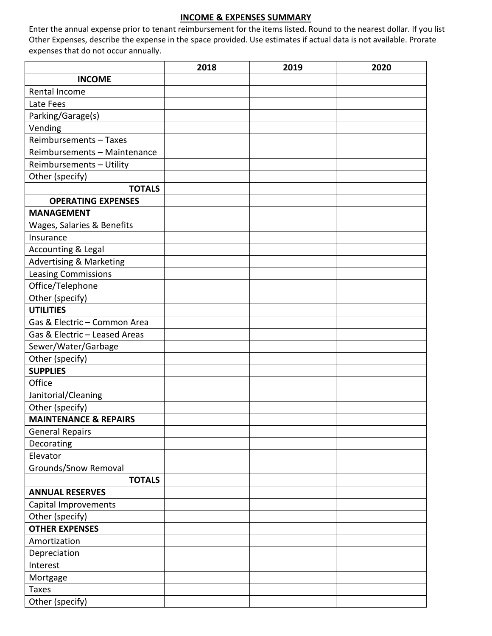## **INCOME & EXPENSES SUMMARY**

Enter the annual expense prior to tenant reimbursement for the items listed. Round to the nearest dollar. If you list Other Expenses, describe the expense in the space provided. Use estimates if actual data is not available. Prorate expenses that do not occur annually.

|                                    | 2018 | 2019 | 2020 |
|------------------------------------|------|------|------|
| <b>INCOME</b>                      |      |      |      |
| Rental Income                      |      |      |      |
| Late Fees                          |      |      |      |
| Parking/Garage(s)                  |      |      |      |
| Vending                            |      |      |      |
| Reimbursements - Taxes             |      |      |      |
| Reimbursements - Maintenance       |      |      |      |
| Reimbursements - Utility           |      |      |      |
| Other (specify)                    |      |      |      |
| <b>TOTALS</b>                      |      |      |      |
| <b>OPERATING EXPENSES</b>          |      |      |      |
| <b>MANAGEMENT</b>                  |      |      |      |
| Wages, Salaries & Benefits         |      |      |      |
| Insurance                          |      |      |      |
| Accounting & Legal                 |      |      |      |
| <b>Advertising &amp; Marketing</b> |      |      |      |
| <b>Leasing Commissions</b>         |      |      |      |
| Office/Telephone                   |      |      |      |
| Other (specify)                    |      |      |      |
| <b>UTILITIES</b>                   |      |      |      |
| Gas & Electric - Common Area       |      |      |      |
| Gas & Electric - Leased Areas      |      |      |      |
| Sewer/Water/Garbage                |      |      |      |
| Other (specify)                    |      |      |      |
| <b>SUPPLIES</b>                    |      |      |      |
| Office                             |      |      |      |
| Janitorial/Cleaning                |      |      |      |
| Other (specify)                    |      |      |      |
| <b>MAINTENANCE &amp; REPAIRS</b>   |      |      |      |
| <b>General Repairs</b>             |      |      |      |
| Decorating                         |      |      |      |
| Elevator                           |      |      |      |
| Grounds/Snow Removal               |      |      |      |
| <b>TOTALS</b>                      |      |      |      |
| <b>ANNUAL RESERVES</b>             |      |      |      |
| Capital Improvements               |      |      |      |
| Other (specify)                    |      |      |      |
| <b>OTHER EXPENSES</b>              |      |      |      |
| Amortization                       |      |      |      |
| Depreciation                       |      |      |      |
| Interest                           |      |      |      |
| Mortgage                           |      |      |      |
| <b>Taxes</b>                       |      |      |      |
| Other (specify)                    |      |      |      |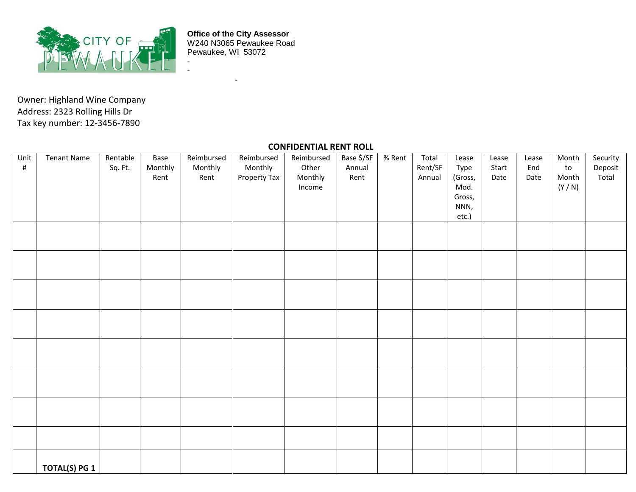

**Office of the City Assessor** W240 N3065 Pewaukee Road Pewaukee, WI 53072 -

- - 1990 - 1990 - 1990 - 1990 - 1990 - 1990 - 1990 - 1990 - 1990 - 1990 - 1990 - 1990 - 1990 - 1990 - 1990 - 19<br>1991 - 1990 - 1990 - 1990 - 1990 - 1990 - 1990 - 1990 - 1990 - 1990 - 1990 - 1990 - 1990 - 1990 - 1990 - 1990

Owner: Highland Wine Company Address: 2323 Rolling Hills Dr Tax key number: 12-3456-7890

| Unit<br>$\#$ | <b>Tenant Name</b>   | Rentable<br>Sq. Ft. | Base<br>Monthly<br>Rent | Reimbursed<br>Monthly<br>Rent | Reimbursed<br>Monthly<br>Property Tax | Reimbursed<br>Other<br>Monthly<br>Income | Base \$/SF<br>Annual<br>Rent | % Rent | Total<br>Rent/SF<br>Annual | Lease<br>Type<br>(Gross,<br>Mod.<br>Gross,<br>NNN,<br>etc.) | Lease<br>Start<br>Date | Lease<br>End<br>Date | Month<br>to<br>Month<br>(Y/N) | Security<br>Deposit<br>Total |
|--------------|----------------------|---------------------|-------------------------|-------------------------------|---------------------------------------|------------------------------------------|------------------------------|--------|----------------------------|-------------------------------------------------------------|------------------------|----------------------|-------------------------------|------------------------------|
|              |                      |                     |                         |                               |                                       |                                          |                              |        |                            |                                                             |                        |                      |                               |                              |
|              |                      |                     |                         |                               |                                       |                                          |                              |        |                            |                                                             |                        |                      |                               |                              |
|              |                      |                     |                         |                               |                                       |                                          |                              |        |                            |                                                             |                        |                      |                               |                              |
|              |                      |                     |                         |                               |                                       |                                          |                              |        |                            |                                                             |                        |                      |                               |                              |
|              |                      |                     |                         |                               |                                       |                                          |                              |        |                            |                                                             |                        |                      |                               |                              |
|              |                      |                     |                         |                               |                                       |                                          |                              |        |                            |                                                             |                        |                      |                               |                              |
|              |                      |                     |                         |                               |                                       |                                          |                              |        |                            |                                                             |                        |                      |                               |                              |
|              |                      |                     |                         |                               |                                       |                                          |                              |        |                            |                                                             |                        |                      |                               |                              |
|              | <b>TOTAL(S) PG 1</b> |                     |                         |                               |                                       |                                          |                              |        |                            |                                                             |                        |                      |                               |                              |

**CONFIDENTIAL RENT ROLL**